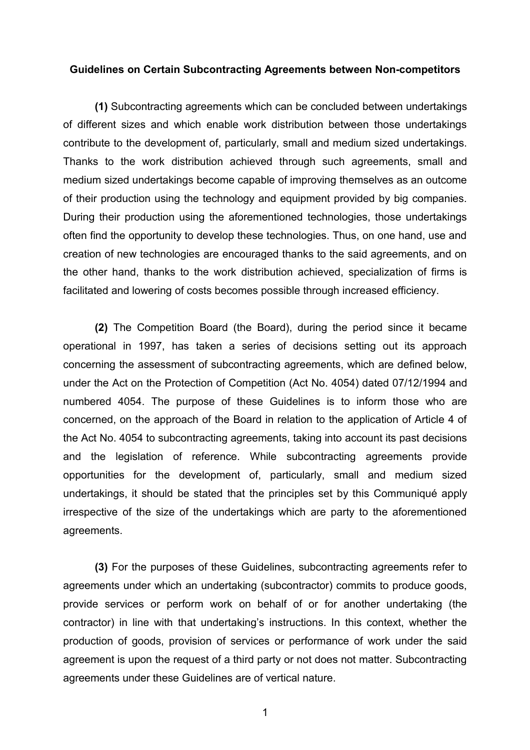## **Guidelines on Certain Subcontracting Agreements between Non-competitors**

**(1)** Subcontracting agreements which can be concluded between undertakings of different sizes and which enable work distribution between those undertakings contribute to the development of, particularly, small and medium sized undertakings. Thanks to the work distribution achieved through such agreements, small and medium sized undertakings become capable of improving themselves as an outcome of their production using the technology and equipment provided by big companies. During their production using the aforementioned technologies, those undertakings often find the opportunity to develop these technologies. Thus, on one hand, use and creation of new technologies are encouraged thanks to the said agreements, and on the other hand, thanks to the work distribution achieved, specialization of firms is facilitated and lowering of costs becomes possible through increased efficiency.

**(2)** The Competition Board (the Board), during the period since it became operational in 1997, has taken a series of decisions setting out its approach concerning the assessment of subcontracting agreements, which are defined below, under the Act on the Protection of Competition (Act No. 4054) dated 07/12/1994 and numbered 4054. The purpose of these Guidelines is to inform those who are concerned, on the approach of the Board in relation to the application of Article 4 of the Act No. 4054 to subcontracting agreements, taking into account its past decisions and the legislation of reference. While subcontracting agreements provide opportunities for the development of, particularly, small and medium sized undertakings, it should be stated that the principles set by this Communiqué apply irrespective of the size of the undertakings which are party to the aforementioned agreements.

**(3)** For the purposes of these Guidelines, subcontracting agreements refer to agreements under which an undertaking (subcontractor) commits to produce goods, provide services or perform work on behalf of or for another undertaking (the contractor) in line with that undertaking's instructions. In this context, whether the production of goods, provision of services or performance of work under the said agreement is upon the request of a third party or not does not matter. Subcontracting agreements under these Guidelines are of vertical nature.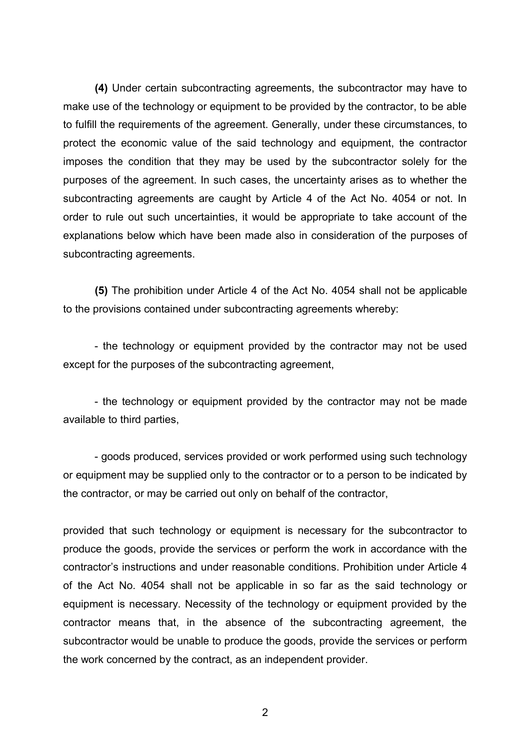**(4)** Under certain subcontracting agreements, the subcontractor may have to make use of the technology or equipment to be provided by the contractor, to be able to fulfill the requirements of the agreement. Generally, under these circumstances, to protect the economic value of the said technology and equipment, the contractor imposes the condition that they may be used by the subcontractor solely for the purposes of the agreement. In such cases, the uncertainty arises as to whether the subcontracting agreements are caught by Article 4 of the Act No. 4054 or not. In order to rule out such uncertainties, it would be appropriate to take account of the explanations below which have been made also in consideration of the purposes of subcontracting agreements.

**(5)** The prohibition under Article 4 of the Act No. 4054 shall not be applicable to the provisions contained under subcontracting agreements whereby:

- the technology or equipment provided by the contractor may not be used except for the purposes of the subcontracting agreement,

- the technology or equipment provided by the contractor may not be made available to third parties,

- goods produced, services provided or work performed using such technology or equipment may be supplied only to the contractor or to a person to be indicated by the contractor, or may be carried out only on behalf of the contractor,

provided that such technology or equipment is necessary for the subcontractor to produce the goods, provide the services or perform the work in accordance with the contractor's instructions and under reasonable conditions. Prohibition under Article 4 of the Act No. 4054 shall not be applicable in so far as the said technology or equipment is necessary. Necessity of the technology or equipment provided by the contractor means that, in the absence of the subcontracting agreement, the subcontractor would be unable to produce the goods, provide the services or perform the work concerned by the contract, as an independent provider.

 $\mathfrak{p}$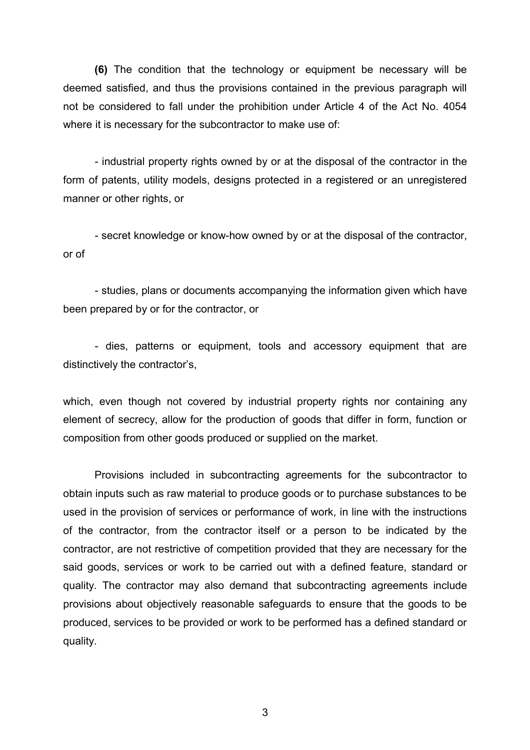**(6)** The condition that the technology or equipment be necessary will be deemed satisfied, and thus the provisions contained in the previous paragraph will not be considered to fall under the prohibition under Article 4 of the Act No. 4054 where it is necessary for the subcontractor to make use of:

- industrial property rights owned by or at the disposal of the contractor in the form of patents, utility models, designs protected in a registered or an unregistered manner or other rights, or

- secret knowledge or know-how owned by or at the disposal of the contractor, or of

- studies, plans or documents accompanying the information given which have been prepared by or for the contractor, or

- dies, patterns or equipment, tools and accessory equipment that are distinctively the contractor's,

which, even though not covered by industrial property rights nor containing any element of secrecy, allow for the production of goods that differ in form, function or composition from other goods produced or supplied on the market.

Provisions included in subcontracting agreements for the subcontractor to obtain inputs such as raw material to produce goods or to purchase substances to be used in the provision of services or performance of work, in line with the instructions of the contractor, from the contractor itself or a person to be indicated by the contractor, are not restrictive of competition provided that they are necessary for the said goods, services or work to be carried out with a defined feature, standard or quality. The contractor may also demand that subcontracting agreements include provisions about objectively reasonable safeguards to ensure that the goods to be produced, services to be provided or work to be performed has a defined standard or quality.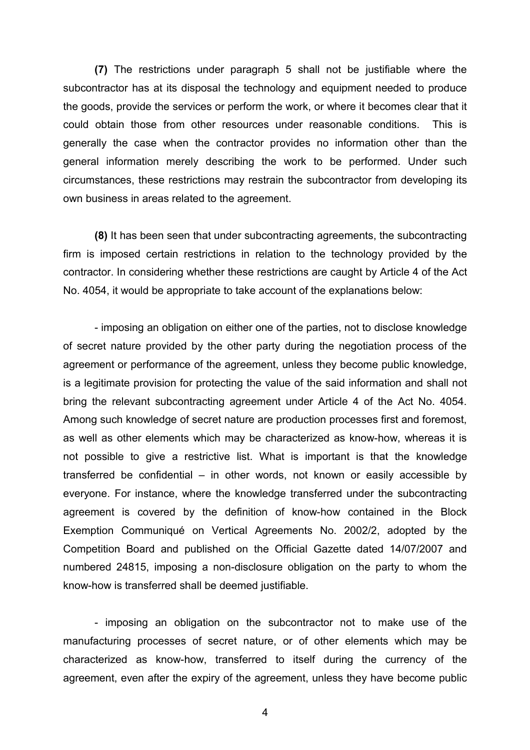**(7)** The restrictions under paragraph 5 shall not be justifiable where the subcontractor has at its disposal the technology and equipment needed to produce the goods, provide the services or perform the work, or where it becomes clear that it could obtain those from other resources under reasonable conditions. This is generally the case when the contractor provides no information other than the general information merely describing the work to be performed. Under such circumstances, these restrictions may restrain the subcontractor from developing its own business in areas related to the agreement.

**(8)** It has been seen that under subcontracting agreements, the subcontracting firm is imposed certain restrictions in relation to the technology provided by the contractor. In considering whether these restrictions are caught by Article 4 of the Act No. 4054, it would be appropriate to take account of the explanations below:

- imposing an obligation on either one of the parties, not to disclose knowledge of secret nature provided by the other party during the negotiation process of the agreement or performance of the agreement, unless they become public knowledge, is a legitimate provision for protecting the value of the said information and shall not bring the relevant subcontracting agreement under Article 4 of the Act No. 4054. Among such knowledge of secret nature are production processes first and foremost, as well as other elements which may be characterized as know-how, whereas it is not possible to give a restrictive list. What is important is that the knowledge transferred be confidential – in other words, not known or easily accessible by everyone. For instance, where the knowledge transferred under the subcontracting agreement is covered by the definition of know-how contained in the Block Exemption Communiqué on Vertical Agreements No. 2002/2, adopted by the Competition Board and published on the Official Gazette dated 14/07/2007 and numbered 24815, imposing a non-disclosure obligation on the party to whom the know-how is transferred shall be deemed justifiable.

- imposing an obligation on the subcontractor not to make use of the manufacturing processes of secret nature, or of other elements which may be characterized as know-how, transferred to itself during the currency of the agreement, even after the expiry of the agreement, unless they have become public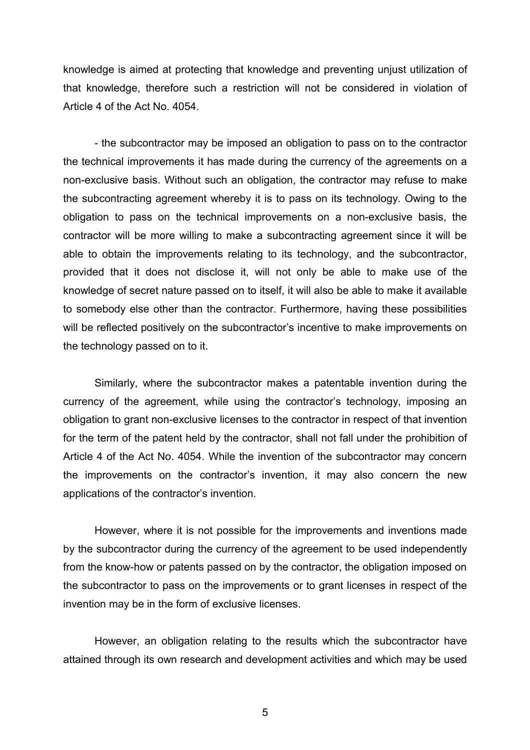knowledge is aimed at protecting that knowledge and preventing unjust utilization of that knowledge, therefore such a restriction will not be considered in violation of Article 4 of the Act No. 4054.

- the subcontractor may be imposed an obligation to pass on to the contractor the technical improvements it has made during the currency of the agreements on a non-exclusive basis. Without such an obligation, the contractor may refuse to make the subcontracting agreement whereby it is to pass on its technology. Owing to the obligation to pass on the technical improvements on a non-exclusive basis, the contractor will be more willing to make a subcontracting agreement since it will be able to obtain the improvements relating to its technology, and the subcontractor, provided that it does not disclose it, will not only be able to make use of the knowledge of secret nature passed on to itself, it will also be able to make it available to somebody else other than the contractor. Furthermore, having these possibilities will be reflected positively on the subcontractor's incentive to make improvements on the technology passed on to it.

Similarly, where the subcontractor makes a patentable invention during the currency of the agreement, while using the contractor's technology, imposing an obligation to grant non-exclusive licenses to the contractor in respect of that invention for the term of the patent held by the contractor, shall not fall under the prohibition of Article 4 of the Act No. 4054. While the invention of the subcontractor may concern the improvements on the contractor's invention, it may also concern the new applications of the contractor's invention.

However, where it is not possible for the improvements and inventions made by the subcontractor during the currency of the agreement to be used independently from the know-how or patents passed on by the contractor, the obligation imposed on the subcontractor to pass on the improvements or to grant licenses in respect of the invention may be in the form of exclusive licenses.

However, an obligation relating to the results which the subcontractor have attained through its own research and development activities and which may be used